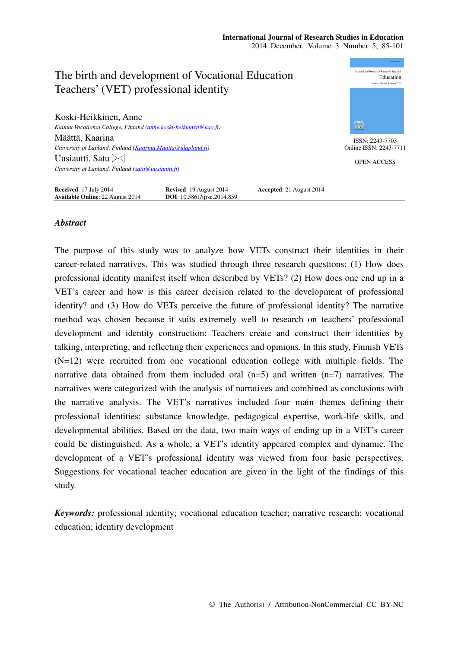#### **International Journal of Research Studies in Education**  2014 December, Volume 3 Number 5, 85-101

nternational Journal of Research Studies in The birth and development of Vocational Education Education Teachers' (VET) professional identity Koski-Heikkinen, Anne ₩ *Kainuu Vocational College, Finland (anne.koski-heikkinen@kao.fi)*  Määttä, Kaarina ISSN: 2243-7703 *University of Lapland, Finland (Kaarina.Maatta@ulapland.fi)*  Online ISSN: 2243-7711 Uusiautti, Satu $\bowtie$ OPEN ACCESS *University of Lapland, Finland (satu@uusiautti.fi)*  **Received**: 17 July 2014 **Revised**: 19 August 2014 **Accepted**: 21 August 2014<br>**Available Online**: 22 August 2014 **DOI**: 10.5861/ijrse.2014.859 **Available Online**: 22 August 2014

## *Abstract*

The purpose of this study was to analyze how VETs construct their identities in their career-related narratives. This was studied through three research questions: (1) How does professional identity manifest itself when described by VETs? (2) How does one end up in a VET's career and how is this career decision related to the development of professional identity? and (3) How do VETs perceive the future of professional identity? The narrative method was chosen because it suits extremely well to research on teachers' professional development and identity construction: Teachers create and construct their identities by talking, interpreting, and reflecting their experiences and opinions. In this study, Finnish VETs (N=12) were recruited from one vocational education college with multiple fields. The narrative data obtained from them included oral  $(n=5)$  and written  $(n=7)$  narratives. The narratives were categorized with the analysis of narratives and combined as conclusions with the narrative analysis. The VET's narratives included four main themes defining their professional identities: substance knowledge, pedagogical expertise, work-life skills, and developmental abilities. Based on the data, two main ways of ending up in a VET's career could be distinguished. As a whole, a VET's identity appeared complex and dynamic. The development of a VET's professional identity was viewed from four basic perspectives. Suggestions for vocational teacher education are given in the light of the findings of this study.

*Keywords:* professional identity; vocational education teacher; narrative research; vocational education; identity development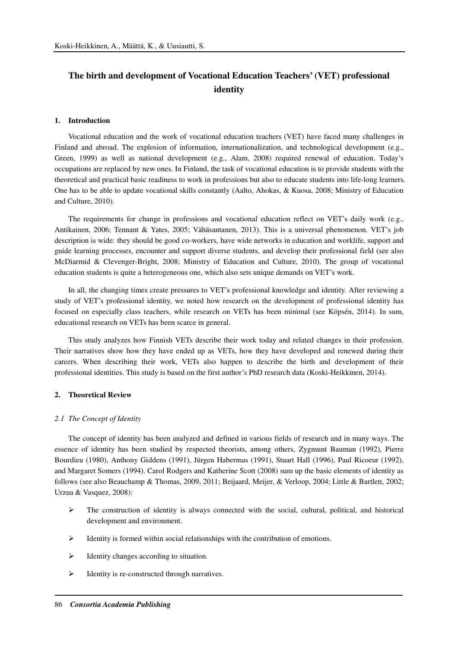# **The birth and development of Vocational Education Teachers' (VET) professional identity**

#### **1. Introduction**

Vocational education and the work of vocational education teachers (VET) have faced many challenges in Finland and abroad. The explosion of information, internationalization, and technological development (e.g., Green, 1999) as well as national development (e.g., Alam, 2008) required renewal of education. Today's occupations are replaced by new ones. In Finland, the task of vocational education is to provide students with the theoretical and practical basic readiness to work in professions but also to educate students into life-long learners. One has to be able to update vocational skills constantly (Aalto, Ahokas, & Kuosa, 2008; Ministry of Education and Culture, 2010).

The requirements for change in professions and vocational education reflect on VET's daily work (e.g., Antikainen, 2006; Tennant & Yates, 2005; Vähäsantanen, 2013). This is a universal phenomenon. VET's job description is wide: they should be good co-workers, have wide networks in education and worklife, support and guide learning processes, encounter and support diverse students, and develop their professional field (see also McDiarmid & Clevenger-Bright, 2008; Ministry of Education and Culture, 2010). The group of vocational education students is quite a heterogeneous one, which also sets unique demands on VET's work.

In all, the changing times create pressures to VET's professional knowledge and identity. After reviewing a study of VET's professional identity, we noted how research on the development of professional identity has focused on especially class teachers, while research on VETs has been minimal (see Köpsén, 2014). In sum, educational research on VETs has been scarce in general.

This study analyzes how Finnish VETs describe their work today and related changes in their profession. Their narratives show how they have ended up as VETs, how they have developed and renewed during their careers. When describing their work, VETs also happen to describe the birth and development of their professional identities. This study is based on the first author's PhD research data (Koski-Heikkinen, 2014).

#### **2. Theoretical Review**

#### *2.1 The Concept of Identity*

The concept of identity has been analyzed and defined in various fields of research and in many ways. The essence of identity has been studied by respected theorists, among others, Zygmunt Bauman (1992), Pierre Bourdieu (1980), Anthony Giddens (1991), Jürgen Habermas (1991), Stuart Hall (1996), Paul Ricoeur (1992), and Margaret Somers (1994). Carol Rodgers and Katherine Scott (2008) sum up the basic elements of identity as follows (see also Beauchamp & Thomas, 2009, 2011; Beijaard, Meijer, & Verloop, 2004; Little & Bartlett, 2002; Urzua & Vasquez, 2008):

- $\triangleright$  The construction of identity is always connected with the social, cultural, political, and historical development and environment.
- $\triangleright$  Identity is formed within social relationships with the contribution of emotions.
- $\triangleright$  Identity changes according to situation.
- $\triangleright$  Identity is re-constructed through narratives.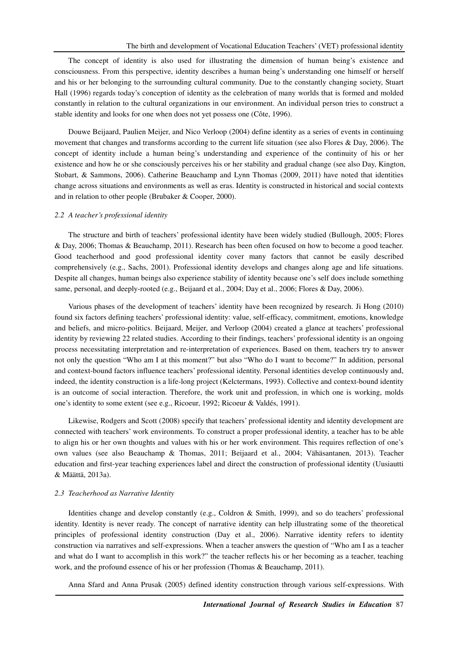The concept of identity is also used for illustrating the dimension of human being's existence and consciousness. From this perspective, identity describes a human being's understanding one himself or herself and his or her belonging to the surrounding cultural community. Due to the constantly changing society, Stuart Hall (1996) regards today's conception of identity as the celebration of many worlds that is formed and molded constantly in relation to the cultural organizations in our environment. An individual person tries to construct a stable identity and looks for one when does not yet possess one (Côte, 1996).

Douwe Beijaard, Paulien Meijer, and Nico Verloop (2004) define identity as a series of events in continuing movement that changes and transforms according to the current life situation (see also Flores & Day, 2006). The concept of identity include a human being's understanding and experience of the continuity of his or her existence and how he or she consciously perceives his or her stability and gradual change (see also Day, Kington, Stobart, & Sammons, 2006). Catherine Beauchamp and Lynn Thomas (2009, 2011) have noted that identities change across situations and environments as well as eras. Identity is constructed in historical and social contexts and in relation to other people (Brubaker & Cooper, 2000).

#### *2.2 A teacher's professional identity*

The structure and birth of teachers' professional identity have been widely studied (Bullough, 2005; Flores & Day, 2006; Thomas & Beauchamp, 2011). Research has been often focused on how to become a good teacher. Good teacherhood and good professional identity cover many factors that cannot be easily described comprehensively (e.g., Sachs, 2001). Professional identity develops and changes along age and life situations. Despite all changes, human beings also experience stability of identity because one's self does include something same, personal, and deeply-rooted (e.g., Beijaard et al., 2004; Day et al., 2006; Flores & Day, 2006).

Various phases of the development of teachers' identity have been recognized by research. Ji Hong (2010) found six factors defining teachers' professional identity: value, self-efficacy, commitment, emotions, knowledge and beliefs, and micro-politics. Beijaard, Meijer, and Verloop (2004) created a glance at teachers' professional identity by reviewing 22 related studies. According to their findings, teachers' professional identity is an ongoing process necessitating interpretation and re-interpretation of experiences. Based on them, teachers try to answer not only the question "Who am I at this moment?" but also "Who do I want to become?" In addition, personal and context-bound factors influence teachers' professional identity. Personal identities develop continuously and, indeed, the identity construction is a life-long project (Kelctermans, 1993). Collective and context-bound identity is an outcome of social interaction. Therefore, the work unit and profession, in which one is working, molds one's identity to some extent (see e.g., Ricoeur, 1992; Ricoeur & Valdés, 1991).

Likewise, Rodgers and Scott (2008) specify that teachers' professional identity and identity development are connected with teachers' work environments. To construct a proper professional identity, a teacher has to be able to align his or her own thoughts and values with his or her work environment. This requires reflection of one's own values (see also Beauchamp & Thomas, 2011; Beijaard et al., 2004; Vähäsantanen, 2013). Teacher education and first-year teaching experiences label and direct the construction of professional identity (Uusiautti & Määttä, 2013a).

#### *2.3 Teacherhood as Narrative Identity*

Identities change and develop constantly (e.g., Coldron & Smith, 1999), and so do teachers' professional identity. Identity is never ready. The concept of narrative identity can help illustrating some of the theoretical principles of professional identity construction (Day et al., 2006). Narrative identity refers to identity construction via narratives and self-expressions. When a teacher answers the question of "Who am I as a teacher and what do I want to accomplish in this work?" the teacher reflects his or her becoming as a teacher, teaching work, and the profound essence of his or her profession (Thomas & Beauchamp, 2011).

Anna Sfard and Anna Prusak (2005) defined identity construction through various self-expressions. With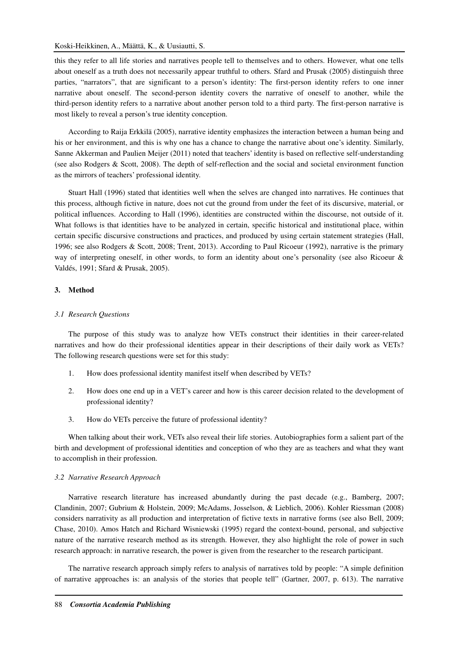### Koski-Heikkinen, A., Määttä, K., & Uusiautti, S.

this they refer to all life stories and narratives people tell to themselves and to others. However, what one tells about oneself as a truth does not necessarily appear truthful to others. Sfard and Prusak (2005) distinguish three parties, "narrators", that are significant to a person's identity: The first-person identity refers to one inner narrative about oneself. The second-person identity covers the narrative of oneself to another, while the third-person identity refers to a narrative about another person told to a third party. The first-person narrative is most likely to reveal a person's true identity conception.

According to Raija Erkkilä (2005), narrative identity emphasizes the interaction between a human being and his or her environment, and this is why one has a chance to change the narrative about one's identity. Similarly, Sanne Akkerman and Paulien Meijer (2011) noted that teachers' identity is based on reflective self-understanding (see also Rodgers & Scott, 2008). The depth of self-reflection and the social and societal environment function as the mirrors of teachers' professional identity.

Stuart Hall (1996) stated that identities well when the selves are changed into narratives. He continues that this process, although fictive in nature, does not cut the ground from under the feet of its discursive, material, or political influences. According to Hall (1996), identities are constructed within the discourse, not outside of it. What follows is that identities have to be analyzed in certain, specific historical and institutional place, within certain specific discursive constructions and practices, and produced by using certain statement strategies (Hall, 1996; see also Rodgers & Scott, 2008; Trent, 2013). According to Paul Ricoeur (1992), narrative is the primary way of interpreting oneself, in other words, to form an identity about one's personality (see also Ricoeur & Valdés, 1991; Sfard & Prusak, 2005).

## **3. Method**

## *3.1 Research Questions*

The purpose of this study was to analyze how VETs construct their identities in their career-related narratives and how do their professional identities appear in their descriptions of their daily work as VETs? The following research questions were set for this study:

- 1. How does professional identity manifest itself when described by VETs?
- 2. How does one end up in a VET's career and how is this career decision related to the development of professional identity?
- 3. How do VETs perceive the future of professional identity?

When talking about their work, VETs also reveal their life stories. Autobiographies form a salient part of the birth and development of professional identities and conception of who they are as teachers and what they want to accomplish in their profession.

#### *3.2 Narrative Research Approach*

Narrative research literature has increased abundantly during the past decade (e.g., Bamberg, 2007; Clandinin, 2007; Gubrium & Holstein, 2009; McAdams, Josselson, & Lieblich, 2006). Kohler Riessman (2008) considers narrativity as all production and interpretation of fictive texts in narrative forms (see also Bell, 2009; Chase, 2010). Amos Hatch and Richard Wisniewski (1995) regard the context-bound, personal, and subjective nature of the narrative research method as its strength. However, they also highlight the role of power in such research approach: in narrative research, the power is given from the researcher to the research participant.

The narrative research approach simply refers to analysis of narratives told by people: "A simple definition of narrative approaches is: an analysis of the stories that people tell" (Gartner, 2007, p. 613). The narrative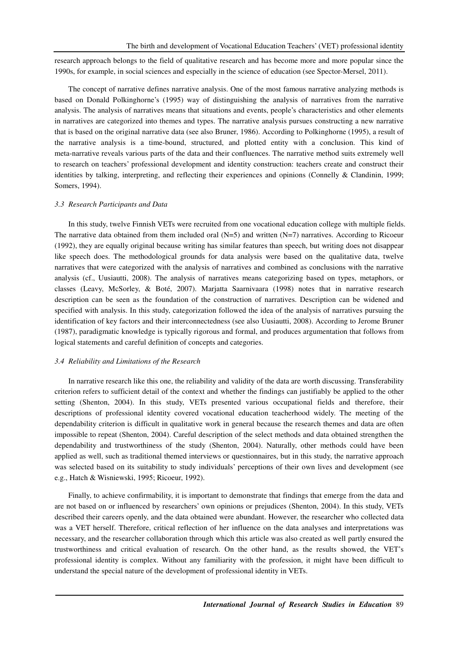research approach belongs to the field of qualitative research and has become more and more popular since the 1990s, for example, in social sciences and especially in the science of education (see Spector-Mersel, 2011).

The concept of narrative defines narrative analysis. One of the most famous narrative analyzing methods is based on Donald Polkinghorne's (1995) way of distinguishing the analysis of narratives from the narrative analysis. The analysis of narratives means that situations and events, people's characteristics and other elements in narratives are categorized into themes and types. The narrative analysis pursues constructing a new narrative that is based on the original narrative data (see also Bruner, 1986). According to Polkinghorne (1995), a result of the narrative analysis is a time-bound, structured, and plotted entity with a conclusion. This kind of meta-narrative reveals various parts of the data and their confluences. The narrative method suits extremely well to research on teachers' professional development and identity construction: teachers create and construct their identities by talking, interpreting, and reflecting their experiences and opinions (Connelly & Clandinin, 1999; Somers, 1994).

#### *3.3 Research Participants and Data*

In this study, twelve Finnish VETs were recruited from one vocational education college with multiple fields. The narrative data obtained from them included oral  $(N=5)$  and written  $(N=7)$  narratives. According to Ricoeur (1992), they are equally original because writing has similar features than speech, but writing does not disappear like speech does. The methodological grounds for data analysis were based on the qualitative data, twelve narratives that were categorized with the analysis of narratives and combined as conclusions with the narrative analysis (cf., Uusiautti, 2008). The analysis of narratives means categorizing based on types, metaphors, or classes (Leavy, McSorley, & Boté, 2007). Marjatta Saarnivaara (1998) notes that in narrative research description can be seen as the foundation of the construction of narratives. Description can be widened and specified with analysis. In this study, categorization followed the idea of the analysis of narratives pursuing the identification of key factors and their interconnectedness (see also Uusiautti, 2008). According to Jerome Bruner (1987), paradigmatic knowledge is typically rigorous and formal, and produces argumentation that follows from logical statements and careful definition of concepts and categories.

#### *3.4 Reliability and Limitations of the Research*

In narrative research like this one, the reliability and validity of the data are worth discussing. Transferability criterion refers to sufficient detail of the context and whether the findings can justifiably be applied to the other setting (Shenton, 2004). In this study, VETs presented various occupational fields and therefore, their descriptions of professional identity covered vocational education teacherhood widely. The meeting of the dependability criterion is difficult in qualitative work in general because the research themes and data are often impossible to repeat (Shenton, 2004). Careful description of the select methods and data obtained strengthen the dependability and trustworthiness of the study (Shenton, 2004). Naturally, other methods could have been applied as well, such as traditional themed interviews or questionnaires, but in this study, the narrative approach was selected based on its suitability to study individuals' perceptions of their own lives and development (see e.g., Hatch & Wisniewski, 1995; Ricoeur, 1992).

Finally, to achieve confirmability, it is important to demonstrate that findings that emerge from the data and are not based on or influenced by researchers' own opinions or prejudices (Shenton, 2004). In this study, VETs described their careers openly, and the data obtained were abundant. However, the researcher who collected data was a VET herself. Therefore, critical reflection of her influence on the data analyses and interpretations was necessary, and the researcher collaboration through which this article was also created as well partly ensured the trustworthiness and critical evaluation of research. On the other hand, as the results showed, the VET's professional identity is complex. Without any familiarity with the profession, it might have been difficult to understand the special nature of the development of professional identity in VETs.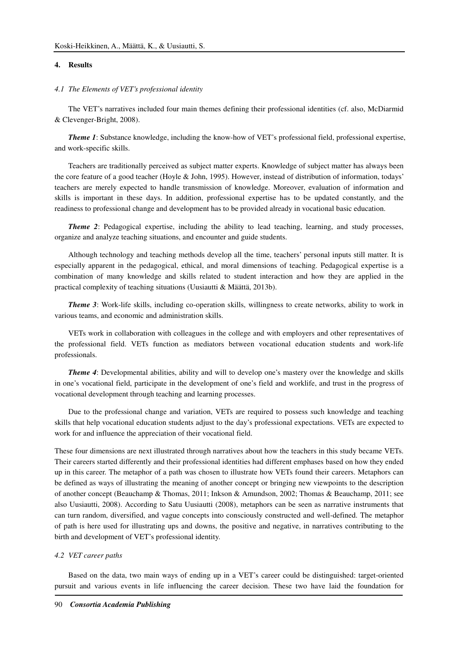## **4. Results**

## *4.1 The Elements of VET's professional identity*

The VET's narratives included four main themes defining their professional identities (cf. also, McDiarmid & Clevenger-Bright, 2008).

*Theme 1*: Substance knowledge, including the know-how of VET's professional field, professional expertise, and work-specific skills.

Teachers are traditionally perceived as subject matter experts. Knowledge of subject matter has always been the core feature of a good teacher (Hoyle & John, 1995). However, instead of distribution of information, todays' teachers are merely expected to handle transmission of knowledge. Moreover, evaluation of information and skills is important in these days. In addition, professional expertise has to be updated constantly, and the readiness to professional change and development has to be provided already in vocational basic education.

*Theme 2*: Pedagogical expertise, including the ability to lead teaching, learning, and study processes, organize and analyze teaching situations, and encounter and guide students.

Although technology and teaching methods develop all the time, teachers' personal inputs still matter. It is especially apparent in the pedagogical, ethical, and moral dimensions of teaching. Pedagogical expertise is a combination of many knowledge and skills related to student interaction and how they are applied in the practical complexity of teaching situations (Uusiautti & Määttä, 2013b).

*Theme 3*: Work-life skills, including co-operation skills, willingness to create networks, ability to work in various teams, and economic and administration skills.

VETs work in collaboration with colleagues in the college and with employers and other representatives of the professional field. VETs function as mediators between vocational education students and work-life professionals.

*Theme 4*: Developmental abilities, ability and will to develop one's mastery over the knowledge and skills in one's vocational field, participate in the development of one's field and worklife, and trust in the progress of vocational development through teaching and learning processes.

Due to the professional change and variation, VETs are required to possess such knowledge and teaching skills that help vocational education students adjust to the day's professional expectations. VETs are expected to work for and influence the appreciation of their vocational field.

These four dimensions are next illustrated through narratives about how the teachers in this study became VETs. Their careers started differently and their professional identities had different emphases based on how they ended up in this career. The metaphor of a path was chosen to illustrate how VETs found their careers. Metaphors can be defined as ways of illustrating the meaning of another concept or bringing new viewpoints to the description of another concept (Beauchamp & Thomas, 2011; Inkson & Amundson, 2002; Thomas & Beauchamp, 2011; see also Uusiautti, 2008). According to Satu Uusiautti (2008), metaphors can be seen as narrative instruments that can turn random, diversified, and vague concepts into consciously constructed and well-defined. The metaphor of path is here used for illustrating ups and downs, the positive and negative, in narratives contributing to the birth and development of VET's professional identity.

#### *4.2 VET career paths*

Based on the data, two main ways of ending up in a VET's career could be distinguished: target-oriented pursuit and various events in life influencing the career decision. These two have laid the foundation for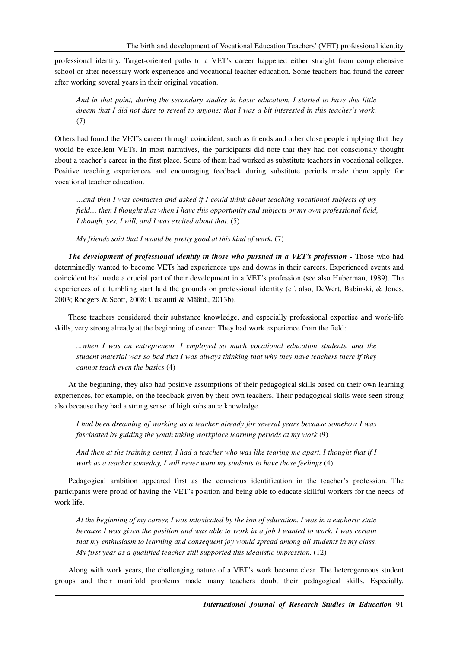professional identity. Target-oriented paths to a VET's career happened either straight from comprehensive school or after necessary work experience and vocational teacher education. Some teachers had found the career after working several years in their original vocation.

*And in that point, during the secondary studies in basic education, I started to have this little dream that I did not dare to reveal to anyone; that I was a bit interested in this teacher's work.*  (7)

Others had found the VET's career through coincident, such as friends and other close people implying that they would be excellent VETs. In most narratives, the participants did note that they had not consciously thought about a teacher's career in the first place. Some of them had worked as substitute teachers in vocational colleges. Positive teaching experiences and encouraging feedback during substitute periods made them apply for vocational teacher education.

*…and then I was contacted and asked if I could think about teaching vocational subjects of my field… then I thought that when I have this opportunity and subjects or my own professional field, I though, yes, I will, and I was excited about that.* (5)

*My friends said that I would be pretty good at this kind of work.* (7)

*The development of professional identity in those who pursued in a VET's profession - Those who had* determinedly wanted to become VETs had experiences ups and downs in their careers. Experienced events and coincident had made a crucial part of their development in a VET's profession (see also Huberman, 1989). The experiences of a fumbling start laid the grounds on professional identity (cf. also, DeWert, Babinski, & Jones, 2003; Rodgers & Scott, 2008; Uusiautti & Määttä, 2013b).

These teachers considered their substance knowledge, and especially professional expertise and work-life skills, very strong already at the beginning of career. They had work experience from the field:

*...when I was an entrepreneur, I employed so much vocational education students, and the student material was so bad that I was always thinking that why they have teachers there if they cannot teach even the basics* (4)

At the beginning, they also had positive assumptions of their pedagogical skills based on their own learning experiences, for example, on the feedback given by their own teachers. Their pedagogical skills were seen strong also because they had a strong sense of high substance knowledge.

*I had been dreaming of working as a teacher already for several years because somehow I was fascinated by guiding the youth taking workplace learning periods at my work* (9)

*And then at the training center, I had a teacher who was like tearing me apart. I thought that if I work as a teacher someday, I will never want my students to have those feelings* (4)

Pedagogical ambition appeared first as the conscious identification in the teacher's profession. The participants were proud of having the VET's position and being able to educate skillful workers for the needs of work life.

*At the beginning of my career, I was intoxicated by the ism of education. I was in a euphoric state because I was given the position and was able to work in a job I wanted to work. I was certain that my enthusiasm to learning and consequent joy would spread among all students in my class. My first year as a qualified teacher still supported this idealistic impression.* (12)

Along with work years, the challenging nature of a VET's work became clear. The heterogeneous student groups and their manifold problems made many teachers doubt their pedagogical skills. Especially,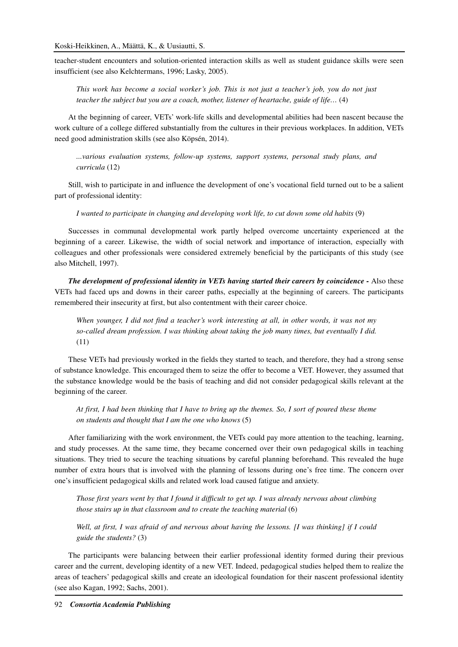teacher-student encounters and solution-oriented interaction skills as well as student guidance skills were seen insufficient (see also Kelchtermans, 1996; Lasky, 2005).

*This work has become a social worker's job. This is not just a teacher's job, you do not just teacher the subject but you are a coach, mother, listener of heartache, guide of life…* (4)

At the beginning of career, VETs' work-life skills and developmental abilities had been nascent because the work culture of a college differed substantially from the cultures in their previous workplaces. In addition, VETs need good administration skills (see also Köpsén, 2014).

*...various evaluation systems, follow-up systems, support systems, personal study plans, and curricula* (12)

Still, wish to participate in and influence the development of one's vocational field turned out to be a salient part of professional identity:

*I wanted to participate in changing and developing work life, to cut down some old habits* (9)

Successes in communal developmental work partly helped overcome uncertainty experienced at the beginning of a career. Likewise, the width of social network and importance of interaction, especially with colleagues and other professionals were considered extremely beneficial by the participants of this study (see also Mitchell, 1997).

*The development of professional identity in VETs having started their careers by coincidence -* Also these VETs had faced ups and downs in their career paths, especially at the beginning of careers. The participants remembered their insecurity at first, but also contentment with their career choice.

*When younger, I did not find a teacher's work interesting at all, in other words, it was not my so-called dream profession. I was thinking about taking the job many times, but eventually I did.*  (11)

These VETs had previously worked in the fields they started to teach, and therefore, they had a strong sense of substance knowledge. This encouraged them to seize the offer to become a VET. However, they assumed that the substance knowledge would be the basis of teaching and did not consider pedagogical skills relevant at the beginning of the career.

*At first, I had been thinking that I have to bring up the themes. So, I sort of poured these theme on students and thought that I am the one who knows* (5)

After familiarizing with the work environment, the VETs could pay more attention to the teaching, learning, and study processes. At the same time, they became concerned over their own pedagogical skills in teaching situations. They tried to secure the teaching situations by careful planning beforehand. This revealed the huge number of extra hours that is involved with the planning of lessons during one's free time. The concern over one's insufficient pedagogical skills and related work load caused fatigue and anxiety.

*Those first years went by that I found it difficult to get up. I was already nervous about climbing those stairs up in that classroom and to create the teaching material* (6)

*Well, at first, I was afraid of and nervous about having the lessons. [I was thinking] if I could guide the students?* (3)

The participants were balancing between their earlier professional identity formed during their previous career and the current, developing identity of a new VET. Indeed, pedagogical studies helped them to realize the areas of teachers' pedagogical skills and create an ideological foundation for their nascent professional identity (see also Kagan, 1992; Sachs, 2001).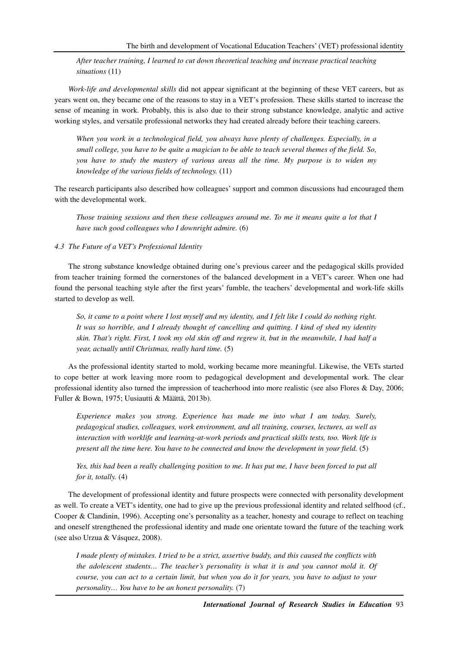*After teacher training, I learned to cut down theoretical teaching and increase practical teaching situations* (11)

*Work-life and developmental skills* did not appear significant at the beginning of these VET careers, but as years went on, they became one of the reasons to stay in a VET's profession. These skills started to increase the sense of meaning in work. Probably, this is also due to their strong substance knowledge, analytic and active working styles, and versatile professional networks they had created already before their teaching careers.

*When you work in a technological field, you always have plenty of challenges. Especially, in a small college, you have to be quite a magician to be able to teach several themes of the field. So, you have to study the mastery of various areas all the time. My purpose is to widen my knowledge of the various fields of technology.* (11)

The research participants also described how colleagues' support and common discussions had encouraged them with the developmental work.

*Those training sessions and then these colleagues around me. To me it means quite a lot that I have such good colleagues who I downright admire.* (6)

## *4.3 The Future of a VET's Professional Identity*

The strong substance knowledge obtained during one's previous career and the pedagogical skills provided from teacher training formed the cornerstones of the balanced development in a VET's career. When one had found the personal teaching style after the first years' fumble, the teachers' developmental and work-life skills started to develop as well.

*So, it came to a point where I lost myself and my identity, and I felt like I could do nothing right. It was so horrible, and I already thought of cancelling and quitting. I kind of shed my identity skin. That's right. First, I took my old skin off and regrew it, but in the meanwhile, I had half a year, actually until Christmas, really hard time.* (5)

As the professional identity started to mold, working became more meaningful. Likewise, the VETs started to cope better at work leaving more room to pedagogical development and developmental work. The clear professional identity also turned the impression of teacherhood into more realistic (see also Flores & Day, 2006; Fuller & Bown, 1975; Uusiautti & Määttä, 2013b).

*Experience makes you strong. Experience has made me into what I am today. Surely, pedagogical studies, colleagues, work environment, and all training, courses, lectures, as well as interaction with worklife and learning-at-work periods and practical skills tests, too. Work life is present all the time here. You have to be connected and know the development in your field.* (5)

Yes, this had been a really challenging position to me. It has put me, I have been forced to put all *for it, totally.* (4)

The development of professional identity and future prospects were connected with personality development as well. To create a VET's identity, one had to give up the previous professional identity and related selfhood (cf., Cooper & Clandinin, 1996). Accepting one's personality as a teacher, honesty and courage to reflect on teaching and oneself strengthened the professional identity and made one orientate toward the future of the teaching work (see also Urzua & Vásquez, 2008).

*I made plenty of mistakes. I tried to be a strict, assertive buddy, and this caused the conflicts with the adolescent students… The teacher's personality is what it is and you cannot mold it. Of course, you can act to a certain limit, but when you do it for years, you have to adjust to your personality… You have to be an honest personality.* (7)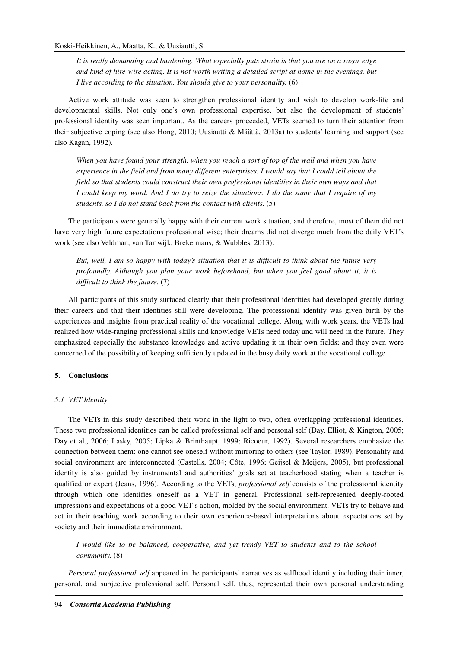*It is really demanding and burdening. What especially puts strain is that you are on a razor edge and kind of hire-wire acting. It is not worth writing a detailed script at home in the evenings, but I live according to the situation. You should give to your personality.* (6)

Active work attitude was seen to strengthen professional identity and wish to develop work-life and developmental skills. Not only one's own professional expertise, but also the development of students' professional identity was seen important. As the careers proceeded, VETs seemed to turn their attention from their subjective coping (see also Hong, 2010; Uusiautti & Määttä, 2013a) to students' learning and support (see also Kagan, 1992).

*When you have found your strength, when you reach a sort of top of the wall and when you have experience in the field and from many different enterprises. I would say that I could tell about the field so that students could construct their own professional identities in their own ways and that I could keep my word. And I do try to seize the situations. I do the same that I require of my students, so I do not stand back from the contact with clients.* (5)

The participants were generally happy with their current work situation, and therefore, most of them did not have very high future expectations professional wise; their dreams did not diverge much from the daily VET's work (see also Veldman, van Tartwijk, Brekelmans, & Wubbles, 2013).

*But, well, I am so happy with today's situation that it is difficult to think about the future very profoundly. Although you plan your work beforehand, but when you feel good about it, it is difficult to think the future.* (7)

All participants of this study surfaced clearly that their professional identities had developed greatly during their careers and that their identities still were developing. The professional identity was given birth by the experiences and insights from practical reality of the vocational college. Along with work years, the VETs had realized how wide-ranging professional skills and knowledge VETs need today and will need in the future. They emphasized especially the substance knowledge and active updating it in their own fields; and they even were concerned of the possibility of keeping sufficiently updated in the busy daily work at the vocational college.

## **5. Conclusions**

## *5.1 VET Identity*

The VETs in this study described their work in the light to two, often overlapping professional identities. These two professional identities can be called professional self and personal self (Day, Elliot, & Kington, 2005; Day et al., 2006; Lasky, 2005; Lipka & Brinthaupt, 1999; Ricoeur, 1992). Several researchers emphasize the connection between them: one cannot see oneself without mirroring to others (see Taylor, 1989). Personality and social environment are interconnected (Castells, 2004; Côte, 1996; Geijsel & Meijers, 2005), but professional identity is also guided by instrumental and authorities' goals set at teacherhood stating when a teacher is qualified or expert (Jeans, 1996). According to the VETs, *professional self* consists of the professional identity through which one identifies oneself as a VET in general. Professional self-represented deeply-rooted impressions and expectations of a good VET's action, molded by the social environment. VETs try to behave and act in their teaching work according to their own experience-based interpretations about expectations set by society and their immediate environment.

*I would like to be balanced, cooperative, and yet trendy VET to students and to the school community.* (8)

*Personal professional self* appeared in the participants' narratives as selfhood identity including their inner, personal, and subjective professional self. Personal self, thus, represented their own personal understanding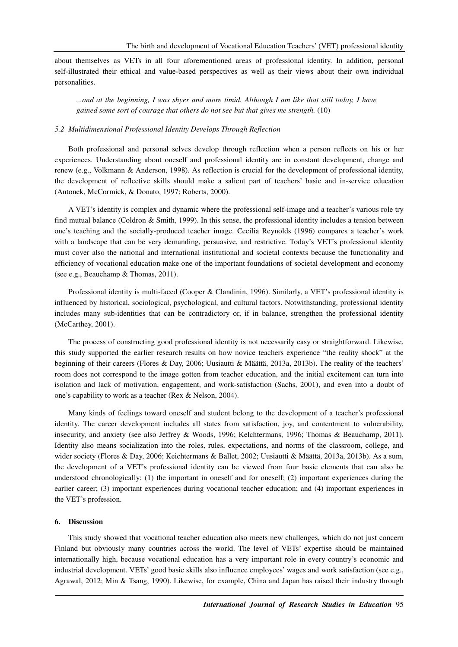about themselves as VETs in all four aforementioned areas of professional identity. In addition, personal self-illustrated their ethical and value-based perspectives as well as their views about their own individual personalities.

*...and at the beginning, I was shyer and more timid. Although I am like that still today, I have gained some sort of courage that others do not see but that gives me strength.* (10)

## *5.2 Multidimensional Professional Identity Develops Through Reflection*

Both professional and personal selves develop through reflection when a person reflects on his or her experiences. Understanding about oneself and professional identity are in constant development, change and renew (e.g., Volkmann & Anderson, 1998). As reflection is crucial for the development of professional identity, the development of reflective skills should make a salient part of teachers' basic and in-service education (Antonek, McCormick, & Donato, 1997; Roberts, 2000).

A VET's identity is complex and dynamic where the professional self-image and a teacher's various role try find mutual balance (Coldron & Smith, 1999). In this sense, the professional identity includes a tension between one's teaching and the socially-produced teacher image. Cecilia Reynolds (1996) compares a teacher's work with a landscape that can be very demanding, persuasive, and restrictive. Today's VET's professional identity must cover also the national and international institutional and societal contexts because the functionality and efficiency of vocational education make one of the important foundations of societal development and economy (see e.g., Beauchamp & Thomas, 2011).

Professional identity is multi-faced (Cooper & Clandinin, 1996). Similarly, a VET's professional identity is influenced by historical, sociological, psychological, and cultural factors. Notwithstanding, professional identity includes many sub-identities that can be contradictory or, if in balance, strengthen the professional identity (McCarthey, 2001).

The process of constructing good professional identity is not necessarily easy or straightforward. Likewise, this study supported the earlier research results on how novice teachers experience "the reality shock" at the beginning of their careers (Flores & Day, 2006; Uusiautti & Määttä, 2013a, 2013b). The reality of the teachers' room does not correspond to the image gotten from teacher education, and the initial excitement can turn into isolation and lack of motivation, engagement, and work-satisfaction (Sachs, 2001), and even into a doubt of one's capability to work as a teacher (Rex & Nelson, 2004).

Many kinds of feelings toward oneself and student belong to the development of a teacher's professional identity. The career development includes all states from satisfaction, joy, and contentment to vulnerability, insecurity, and anxiety (see also Jeffrey & Woods, 1996; Kelchtermans, 1996; Thomas & Beauchamp, 2011). Identity also means socialization into the roles, rules, expectations, and norms of the classroom, college, and wider society (Flores & Day, 2006; Keichtermans & Ballet, 2002; Uusiautti & Määttä, 2013a, 2013b). As a sum, the development of a VET's professional identity can be viewed from four basic elements that can also be understood chronologically: (1) the important in oneself and for oneself; (2) important experiences during the earlier career; (3) important experiences during vocational teacher education; and (4) important experiences in the VET's profession.

#### **6. Discussion**

This study showed that vocational teacher education also meets new challenges, which do not just concern Finland but obviously many countries across the world. The level of VETs' expertise should be maintained internationally high, because vocational education has a very important role in every country's economic and industrial development. VETs' good basic skills also influence employees' wages and work satisfaction (see e.g., Agrawal, 2012; Min & Tsang, 1990). Likewise, for example, China and Japan has raised their industry through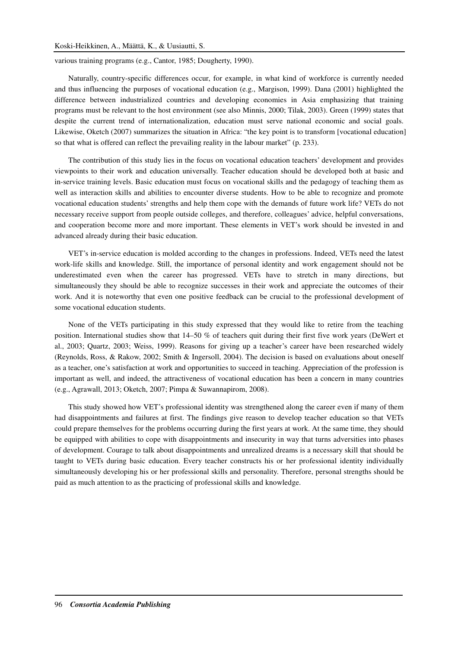various training programs (e.g., Cantor, 1985; Dougherty, 1990).

Naturally, country-specific differences occur, for example, in what kind of workforce is currently needed and thus influencing the purposes of vocational education (e.g., Margison, 1999). Dana (2001) highlighted the difference between industrialized countries and developing economies in Asia emphasizing that training programs must be relevant to the host environment (see also Minnis, 2000; Tilak, 2003). Green (1999) states that despite the current trend of internationalization, education must serve national economic and social goals. Likewise, Oketch (2007) summarizes the situation in Africa: "the key point is to transform [vocational education] so that what is offered can reflect the prevailing reality in the labour market" (p. 233).

The contribution of this study lies in the focus on vocational education teachers' development and provides viewpoints to their work and education universally. Teacher education should be developed both at basic and in-service training levels. Basic education must focus on vocational skills and the pedagogy of teaching them as well as interaction skills and abilities to encounter diverse students. How to be able to recognize and promote vocational education students' strengths and help them cope with the demands of future work life? VETs do not necessary receive support from people outside colleges, and therefore, colleagues' advice, helpful conversations, and cooperation become more and more important. These elements in VET's work should be invested in and advanced already during their basic education.

VET's in-service education is molded according to the changes in professions. Indeed, VETs need the latest work-life skills and knowledge. Still, the importance of personal identity and work engagement should not be underestimated even when the career has progressed. VETs have to stretch in many directions, but simultaneously they should be able to recognize successes in their work and appreciate the outcomes of their work. And it is noteworthy that even one positive feedback can be crucial to the professional development of some vocational education students.

None of the VETs participating in this study expressed that they would like to retire from the teaching position. International studies show that 14–50 % of teachers quit during their first five work years (DeWert et al., 2003; Quartz, 2003; Weiss, 1999). Reasons for giving up a teacher's career have been researched widely (Reynolds, Ross, & Rakow, 2002; Smith & Ingersoll, 2004). The decision is based on evaluations about oneself as a teacher, one's satisfaction at work and opportunities to succeed in teaching. Appreciation of the profession is important as well, and indeed, the attractiveness of vocational education has been a concern in many countries (e.g., Agrawall, 2013; Oketch, 2007; Pimpa & Suwannapirom, 2008).

This study showed how VET's professional identity was strengthened along the career even if many of them had disappointments and failures at first. The findings give reason to develop teacher education so that VETs could prepare themselves for the problems occurring during the first years at work. At the same time, they should be equipped with abilities to cope with disappointments and insecurity in way that turns adversities into phases of development. Courage to talk about disappointments and unrealized dreams is a necessary skill that should be taught to VETs during basic education. Every teacher constructs his or her professional identity individually simultaneously developing his or her professional skills and personality. Therefore, personal strengths should be paid as much attention to as the practicing of professional skills and knowledge.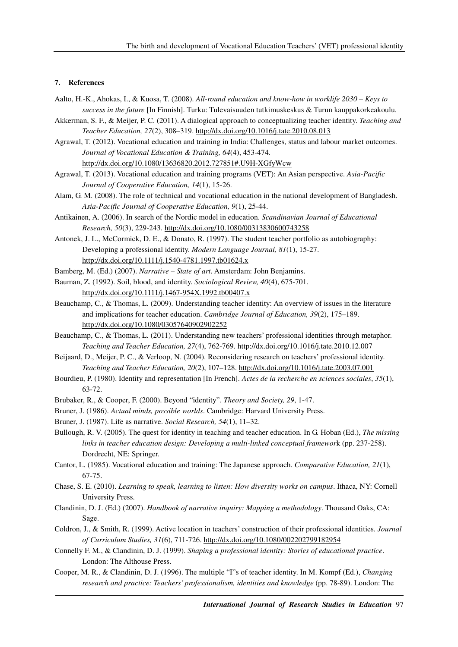## **7. References**

- Aalto, H.-K., Ahokas, I., & Kuosa, T. (2008). *All-round education and know-how in worklife 2030 Keys to success in the future* [In Finnish]. Turku: Tulevaisuuden tutkimuskeskus & Turun kauppakorkeakoulu.
- Akkerman, S. F., & Meijer, P. C. (2011). A dialogical approach to conceptualizing teacher identity. *Teaching and Teacher Education, 27*(2), 308–319. http://dx.doi.org/10.1016/j.tate.2010.08.013
- Agrawal, T. (2012). Vocational education and training in India: Challenges, status and labour market outcomes. *Journal of Vocational Education & Training, 64*(4), 453-474. http://dx.doi.org/10.1080/13636820.2012.727851#.U9H-XGfyWcw
- Agrawal, T. (2013). Vocational education and training programs (VET): An Asian perspective. *Asia-Pacific Journal of Cooperative Education, 14*(1), 15-26.
- Alam, G. M. (2008). The role of technical and vocational education in the national development of Bangladesh. *Asia-Pacific Journal of Cooperative Education, 9*(1), 25-44.
- Antikainen, A. (2006). In search of the Nordic model in education. *Scandinavian Journal of Educational Research, 50*(3), 229-243. http://dx.doi.org/10.1080/00313830600743258
- Antonek, J. L., McCormick, D. E., & Donato, R. (1997). The student teacher portfolio as autobiography: Developing a professional identity. *Modern Language Journal, 81*(1), 15-27. http://dx.doi.org/10.1111/j.1540-4781.1997.tb01624.x
- Bamberg, M. (Ed.) (2007). *Narrative State of art*. Amsterdam: John Benjamins.
- Bauman, Z. (1992). Soil, blood, and identity. *Sociological Review, 40*(4), 675-701. http://dx.doi.org/10.1111/j.1467-954X.1992.tb00407.x
- Beauchamp, C., & Thomas, L. (2009). Understanding teacher identity: An overview of issues in the literature and implications for teacher education. *Cambridge Journal of Education, 39*(2), 175–189. http://dx.doi.org/10.1080/03057640902902252
- Beauchamp, C., & Thomas, L. (2011). Understanding new teachers' professional identities through metaphor. *Teaching and Teacher Education, 27*(4), 762-769. http://dx.doi.org/10.1016/j.tate.2010.12.007
- Beijaard, D., Meijer, P. C., & Verloop, N. (2004). Reconsidering research on teachers' professional identity. *Teaching and Teacher Education, 20*(2), 107–128. http://dx.doi.org/10.1016/j.tate.2003.07.001
- Bourdieu, P. (1980). Identity and representation [In French]. *Actes de la recherche en sciences sociales*, *35*(1), 63-72.
- Brubaker, R., & Cooper, F. (2000). Beyond "identity". *Theory and Society, 29*, 1-47.
- Bruner, J. (1986). *Actual minds, possible worlds*. Cambridge: Harvard University Press.
- Bruner, J. (1987). Life as narrative. *Social Research, 54*(1), 11–32.
- Bullough, R. V. (2005). The quest for identity in teaching and teacher education. In G. Hoban (Ed.), *The missing links in teacher education design: Developing a multi-linked conceptual framewor*k (pp. 237-258). Dordrecht, NE: Springer.
- Cantor, L. (1985). Vocational education and training: The Japanese approach. *Comparative Education, 21*(1), 67-75.
- Chase, S. E. (2010). *Learning to speak, learning to listen: How diversity works on campus*. Ithaca, NY: Cornell University Press.
- Clandinin, D. J. (Ed.) (2007). *Handbook of narrative inquiry: Mapping a methodology*. Thousand Oaks, CA: Sage.
- Coldron, J., & Smith, R. (1999). Active location in teachers' construction of their professional identities. *Journal of Curriculum Studies, 31*(6), 711-726. http://dx.doi.org/10.1080/002202799182954
- Connelly F. M., & Clandinin, D. J. (1999). *Shaping a professional identity: Stories of educational practice*. London: The Althouse Press.
- Cooper, M. R., & Clandinin, D. J. (1996). The multiple "I"s of teacher identity. In M. Kompf (Ed.), *Changing research and practice: Teachers' professionalism, identities and knowledge* (pp. 78-89). London: The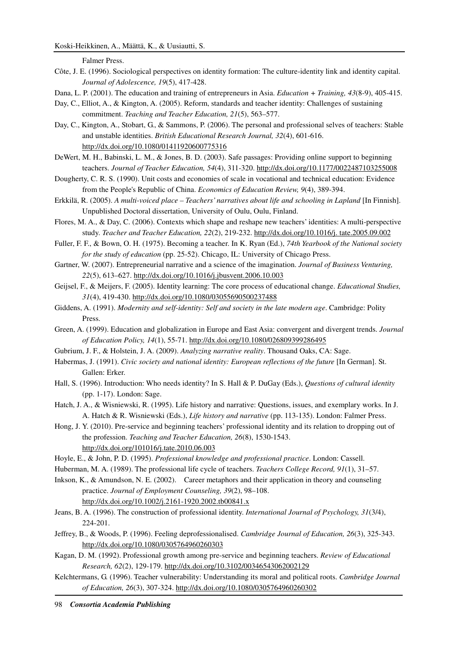Falmer Press.

- Côte, J. E. (1996). Sociological perspectives on identity formation: The culture-identity link and identity capital. *Journal of Adolescence, 19*(5), 417-428.
- Dana, L. P. (2001). The education and training of entrepreneurs in Asia. *Education + Training, 43*(8-9), 405-415.
- Day, C., Elliot, A., & Kington, A. (2005). Reform, standards and teacher identity: Challenges of sustaining commitment. *Teaching and Teacher Education, 21*(5), 563–577.
- Day, C., Kington, A., Stobart, G., & Sammons, P. (2006). The personal and professional selves of teachers: Stable and unstable identities. *British Educational Research Journal, 32*(4), 601-616. http://dx.doi.org/10.1080/01411920600775316
- DeWert, M. H., Babinski, L. M., & Jones, B. D. (2003). Safe passages: Providing online support to beginning teachers. *Journal of Teacher Education, 54*(4), 311-320. http://dx.doi.org/10.1177/0022487103255008
- Dougherty, C. R. S. (1990). Unit costs and economies of scale in vocational and technical education: Evidence from the People's Republic of China. *Economics of Education Review, 9*(4), 389-394.
- Erkkilä, R. (2005). *A multi-voiced place Teachers' narratives about life and schooling in Lapland* [In Finnish]. Unpublished Doctoral dissertation, University of Oulu, Oulu, Finland.
- Flores, M. A., & Day, C. (2006). Contexts which shape and reshape new teachers' identities: A multi-perspective study. *Teacher and Teacher Education, 22*(2), 219-232. http://dx.doi.org/10.1016/j. tate.2005.09.002
- Fuller, F. F., & Bown, O. H. (1975). Becoming a teacher. In K. Ryan (Ed.), *74th Yearbook of the National society for the study of education* (pp. 25-52). Chicago, IL: University of Chicago Press.
- Gartner, W. (2007). Entrepreneurial narrative and a science of the imagination. *Journal of Business Venturing, 22*(5), 613–627. http://dx.doi.org/10.1016/j.jbusvent.2006.10.003
- Geijsel, F., & Meijers, F. (2005). Identity learning: The core process of educational change. *Educational Studies, 31*(4), 419-430. http://dx.doi.org/10.1080/03055690500237488
- Giddens, A. (1991). *Modernity and self-identity: Self and society in the late modern age*. Cambridge: Polity Press.
- Green, A. (1999). Education and globalization in Europe and East Asia: convergent and divergent trends. *Journal of Education Policy, 14*(1), 55-71. http://dx.doi.org/10.1080/026809399286495
- Gubrium, J. F., & Holstein, J. A. (2009). *Analyzing narrative reality*. Thousand Oaks, CA: Sage.
- Habermas, J. (1991). *Civic society and national identity: European reflections of the future* [In German]. St. Gallen: Erker.
- Hall, S. (1996). Introduction: Who needs identity? In S. Hall & P. DuGay (Eds.), *Questions of cultural identity* (pp. 1-17). London: Sage.
- Hatch, J. A., & Wisniewski, R. (1995). Life history and narrative: Questions, issues, and exemplary works. In J. A. Hatch & R. Wisniewski (Eds.), *Life history and narrative* (pp. 113-135). London: Falmer Press.
- Hong, J. Y. (2010). Pre-service and beginning teachers' professional identity and its relation to dropping out of the profession. *Teaching and Teacher Education, 26*(8), 1530-1543. http://dx.doi.org/101016/j.tate.2010.06.003
- Hoyle, E., & John, P. D. (1995). *Professional knowledge and professional practice*. London: Cassell.
- Huberman, M. A. (1989). The professional life cycle of teachers. *Teachers College Record, 91*(1), 31–57.
- Inkson, K., & Amundson, N. E. (2002). Career metaphors and their application in theory and counseling practice. *Journal of Employment Counseling, 39*(2), 98–108. http://dx.doi.org/10.1002/j.2161-1920.2002.tb00841.x
- Jeans, B. A. (1996). The construction of professional identity. *International Journal of Psychology, 31*(3/4), 224-201.
- Jeffrey, B., & Woods, P. (1996). Feeling deprofessionalised. *Cambridge Journal of Education, 26*(3), 325-343. http://dx.doi.org/10.1080/0305764960260303
- Kagan, D. M. (1992). Professional growth among pre-service and beginning teachers. *Review of Educational Research, 62*(2), 129-179. http://dx.doi.org/10.3102/00346543062002129
- Kelchtermans, G. (1996). Teacher vulnerability: Understanding its moral and political roots. *Cambridge Journal of Education, 26*(3), 307-324. http://dx.doi.org/10.1080/0305764960260302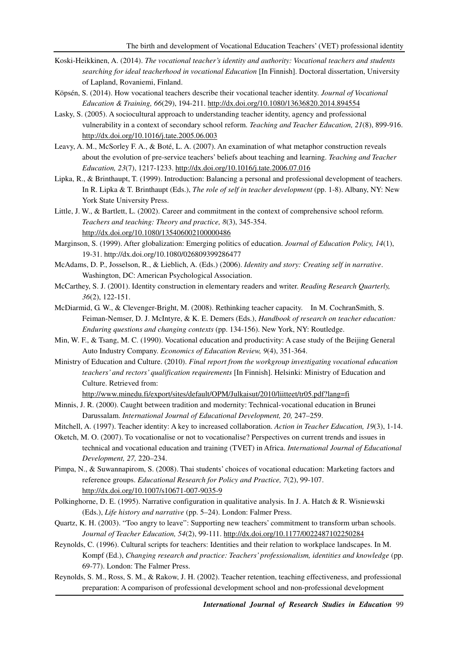- Koski-Heikkinen, A. (2014). *The vocational teacher's identity and authority: Vocational teachers and students searching for ideal teacherhood in vocational Education* [In Finnish]. Doctoral dissertation, University of Lapland, Rovaniemi, Finland.
- Köpsén, S. (2014). How vocational teachers describe their vocational teacher identity. *Journal of Vocational Education & Training, 66*(29), 194-211. http://dx.doi.org/10.1080/13636820.2014.894554
- Lasky, S. (2005). A sociocultural approach to understanding teacher identity, agency and professional vulnerability in a context of secondary school reform. *Teaching and Teacher Education, 21*(8), 899-916. http://dx.doi.org/10.1016/j.tate.2005.06.003
- Leavy, A. M., McSorley F. A., & Boté, L. A. (2007). An examination of what metaphor construction reveals about the evolution of pre-service teachers' beliefs about teaching and learning. *Teaching and Teacher Education, 23*(7), 1217-1233. http://dx.doi.org/10.1016/j.tate.2006.07.016
- Lipka, R., & Brinthaupt, T. (1999). Introduction: Balancing a personal and professional development of teachers. In R. Lipka & T. Brinthaupt (Eds.), *The role of self in teacher development* (pp. 1-8). Albany, NY: New York State University Press.
- Little, J. W., & Bartlett, L. (2002). Career and commitment in the context of comprehensive school reform. *Teachers and teaching: Theory and practice, 8*(3), 345-354. http://dx.doi.org/10.1080/135406002100000486
- Marginson, S. (1999). After globalization: Emerging politics of education. *Journal of Education Policy, 14*(1), 19-31. http://dx.doi.org/10.1080/026809399286477
- McAdams, D. P., Josselson, R., & Lieblich, A. (Eds.) (2006). *Identity and story: Creating self in narrative*. Washington, DC: American Psychological Association.
- McCarthey, S. J. (2001). Identity construction in elementary readers and writer. *Reading Research Quarterly, 36*(2), 122-151.
- McDiarmid, G. W., & Clevenger-Bright, M. (2008). Rethinking teacher capacity. In M. CochranSmith, S. Feiman-Nemser, D. J. McIntyre, & K. E. Demers (Eds.), *Handbook of research on teacher education: Enduring questions and changing contexts* (pp. 134-156). New York, NY: Routledge.
- Min, W. F., & Tsang, M. C. (1990). Vocational education and productivity: A case study of the Beijing General Auto Industry Company. *Economics of Education Review, 9*(4), 351-364.
- Ministry of Education and Culture. (2010). *Final report from the workgroup investigating vocational education teachers' and rectors' qualification requirements* [In Finnish]. Helsinki: Ministry of Education and Culture. Retrieved from:

http://www.minedu.fi/export/sites/default/OPM/Julkaisut/2010/liitteet/tr05.pdf?lang=fi

Minnis, J. R. (2000). Caught between tradition and modernity: Technical-vocational education in Brunei Darussalam. *International Journal of Educational Development, 20,* 247–259.

Mitchell, A. (1997). Teacher identity: A key to increased collaboration. *Action in Teacher Education, 19*(3), 1-14.

- Oketch, M. O. (2007). To vocationalise or not to vocationalise? Perspectives on current trends and issues in technical and vocational education and training (TVET) in Africa. *International Journal of Educational Development, 27,* 220–234.
- Pimpa, N., & Suwannapirom, S. (2008). Thai students' choices of vocational education: Marketing factors and reference groups. *Educational Research for Policy and Practice, 7*(2), 99-107. http://dx.doi.org/10.1007/s10671-007-9035-9
- Polkinghorne, D. E. (1995). Narrative configuration in qualitative analysis. In J. A. Hatch & R. Wisniewski (Eds.), *Life history and narrative* (pp. 5–24). London: Falmer Press.
- Quartz, K. H. (2003). "Too angry to leave": Supporting new teachers' commitment to transform urban schools. *Journal of Teacher Education, 54*(2), 99-111. http://dx.doi.org/10.1177/0022487102250284
- Reynolds, C. (1996). Cultural scripts for teachers: Identities and their relation to workplace landscapes. In M. Kompf (Ed.), *Changing research and practice: Teachers' professionalism, identities and knowledge* (pp. 69-77). London: The Falmer Press.
- Reynolds, S. M., Ross, S. M., & Rakow, J. H. (2002). Teacher retention, teaching effectiveness, and professional preparation: A comparison of professional development school and non-professional development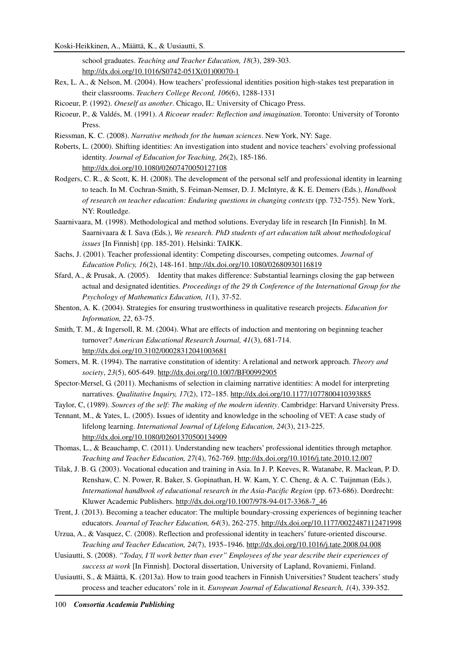Koski-Heikkinen, A., Määttä, K., & Uusiautti, S.

school graduates. *Teaching and Teacher Education, 18*(3), 289-303. http://dx.doi.org/10.1016/S0742-051X(01)00070-1

- Rex, L. A., & Nelson, M. (2004). How teachers' professional identities position high-stakes test preparation in their classrooms. *Teachers College Record, 106*(6), 1288-1331
- Ricoeur, P. (1992). *Oneself as another*. Chicago, IL: University of Chicago Press.
- Ricoeur, P., & Valdés, M. (1991). *A Ricoeur reader: Reflection and imagination*. Toronto: University of Toronto Press.
- Riessman, K. C. (2008). *Narrative methods for the human sciences*. New York, NY: Sage.
- Roberts, L. (2000). Shifting identities: An investigation into student and novice teachers' evolving professional identity. *Journal of Education for Teaching, 26*(2), 185-186. http://dx.doi.org/10.1080/02607470050127108
- Rodgers, C. R., & Scott, K. H. (2008). The development of the personal self and professional identity in learning to teach. In M. Cochran-Smith, S. Feiman-Nemser, D. J. McIntyre, & K. E. Demers (Eds.), *Handbook of research on teacher education: Enduring questions in changing contexts* (pp. 732-755). New York, NY: Routledge.
- Saarnivaara, M. (1998). Methodological and method solutions. Everyday life in research [In Finnish]. In M. Saarnivaara & I. Sava (Eds.), *We research. PhD students of art education talk about methodological issues* [In Finnish] (pp. 185-201). Helsinki: TAIKK.
- Sachs, J. (2001). Teacher professional identity: Competing discourses, competing outcomes. *Journal of Education Policy, 16*(2), 148-161. http://dx.doi.org/10.1080/02680930116819
- Sfard, A., & Prusak, A. (2005). Identity that makes difference: Substantial learnings closing the gap between actual and designated identities. *Proceedings of the 29 th Conference of the International Group for the Psychology of Mathematics Education, 1*(1), 37-52.
- Shenton, A. K. (2004). Strategies for ensuring trustworthiness in qualitative research projects. *Education for Information, 22*, 63-75.
- Smith, T. M., & Ingersoll, R. M. (2004). What are effects of induction and mentoring on beginning teacher turnover? *American Educational Research Journal, 41*(3), 681-714. http://dx.doi.org/10.3102/00028312041003681
- Somers, M. R. (1994). The narrative constitution of identity: A relational and network approach. *Theory and society*, *23*(5), 605-649. http://dx.doi.org/10.1007/BF00992905
- Spector-Mersel, G. (2011). Mechanisms of selection in claiming narrative identities: A model for interpreting narratives. *Qualitative Inquiry, 17*(2), 172–185. http://dx.doi.org/10.1177/1077800410393885
- Taylor, C, (1989). *Sources of the self: The making of the modern identity*. Cambridge: Harvard University Press.
- Tennant, M., & Yates, L. (2005). Issues of identity and knowledge in the schooling of VET: A case study of lifelong learning. *International Journal of Lifelong Education, 24*(3), 213-225. http://dx.doi.org/10.1080/02601370500134909
- Thomas, L., & Beauchamp, C. (2011). Understanding new teachers' professional identities through metaphor. *Teaching and Teacher Education, 27*(4), 762-769. http://dx.doi.org/10.1016/j.tate.2010.12.007
- Tilak, J. B. G. (2003). Vocational education and training in Asia. In J. P. Keeves, R. Watanabe, R. Maclean, P. D. Renshaw, C. N. Power, R. Baker, S. Gopinathan, H. W. Kam, Y. C. Cheng, & A. C. Tuijnman (Eds.), *International handbook of educational research in the Asia-Pacific Region* (pp. 673-686). Dordrecht: Kluwer Academic Publishers. http://dx.doi.org/10.1007/978-94-017-3368-7\_46
- Trent, J. (2013). Becoming a teacher educator: The multiple boundary-crossing experiences of beginning teacher educators. *Journal of Teacher Education, 64*(3), 262-275. http://dx.doi.org/10.1177/0022487112471998
- Urzua, A., & Vasquez, C. (2008). Reflection and professional identity in teachers' future-oriented discourse. *Teaching and Teacher Education, 24*(7), 1935–1946. http://dx.doi.org/10.1016/j.tate.2008.04.008
- Uusiautti, S. (2008). *"Today, I´ll work better than ever" Employees of the year describe their experiences of success at work* [In Finnish]. Doctoral dissertation, University of Lapland, Rovaniemi, Finland.
- Uusiautti, S., & Määttä, K. (2013a). How to train good teachers in Finnish Universities? Student teachers' study process and teacher educators' role in it. *European Journal of Educational Research, 1*(4), 339-352.